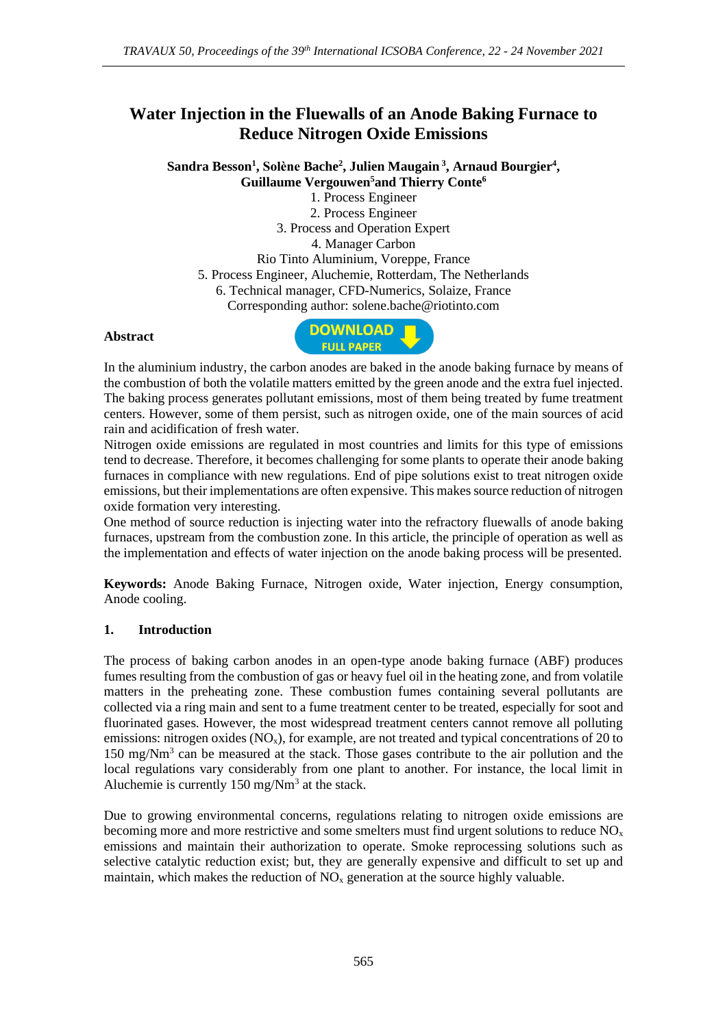# **Water Injection in the Fluewalls of an Anode Baking Furnace to Reduce Nitrogen Oxide Emissions**

**Sandra Besson<sup>1</sup> , Solène Bache<sup>2</sup> , Julien Maugain <sup>3</sup> , Arnaud Bourgier<sup>4</sup> , Guillaume Vergouwen<sup>5</sup>and Thierry Conte<sup>6</sup>**

1. Process Engineer 2. Process Engineer 3. Process and Operation Expert 4. Manager Carbon Rio Tinto Aluminium, Voreppe, France 5. Process Engineer, Aluchemie, Rotterdam, The Netherlands 6. Technical manager, CFD-Numerics, Solaize, France Corresponding author: [solene.bache@riotinto.com](mailto:solene.bache@riotinto.com)

#### **Abstract**



In the aluminium industry, the carbon anodes are baked in the anode baking furnace by means of the combustion of both the volatile matters emitted by the green anode and the extra fuel injected. The baking process generates pollutant emissions, most of them being treated by fume treatment centers. However, some of them persist, such as nitrogen oxide, one of the main sources of acid rain and acidification of fresh water.

Nitrogen oxide emissions are regulated in most countries and limits for this type of emissions tend to decrease. Therefore, it becomes challenging for some plants to operate their anode baking furnaces in compliance with new regulations. End of pipe solutions exist to treat nitrogen oxide emissions, but their implementations are often expensive. This makes source reduction of nitrogen oxide formation very interesting.

One method of source reduction is injecting water into the refractory fluewalls of anode baking furnaces, upstream from the combustion zone. In this article, the principle of operation as well as the implementation and effects of water injection on the anode baking process will be presented.

**Keywords:** Anode Baking Furnace, Nitrogen oxide, Water injection, Energy consumption, Anode cooling.

#### **1. Introduction**

The process of baking carbon anodes in an open-type anode baking furnace (ABF) produces fumes resulting from the combustion of gas or heavy fuel oil in the heating zone, and from volatile matters in the preheating zone. These combustion fumes containing several pollutants are collected via a ring main and sent to a fume treatment center to be treated, especially for soot and fluorinated gases. However, the most widespread treatment centers cannot remove all polluting emissions: nitrogen oxides  $(NO<sub>x</sub>)$ , for example, are not treated and typical concentrations of 20 to 150 mg/Nm<sup>3</sup> can be measured at the stack. Those gases contribute to the air pollution and the local regulations vary considerably from one plant to another. For instance, the local limit in Aluchemie is currently  $150 \text{ mg/Nm}^3$  at the stack.

Due to growing environmental concerns, regulations relating to nitrogen oxide emissions are becoming more and more restrictive and some smelters must find urgent solutions to reduce  $NO<sub>x</sub>$ emissions and maintain their authorization to operate. Smoke reprocessing solutions such as selective catalytic reduction exist; but, they are generally expensive and difficult to set up and maintain, which makes the reduction of  $NO<sub>x</sub>$  generation at the source highly valuable.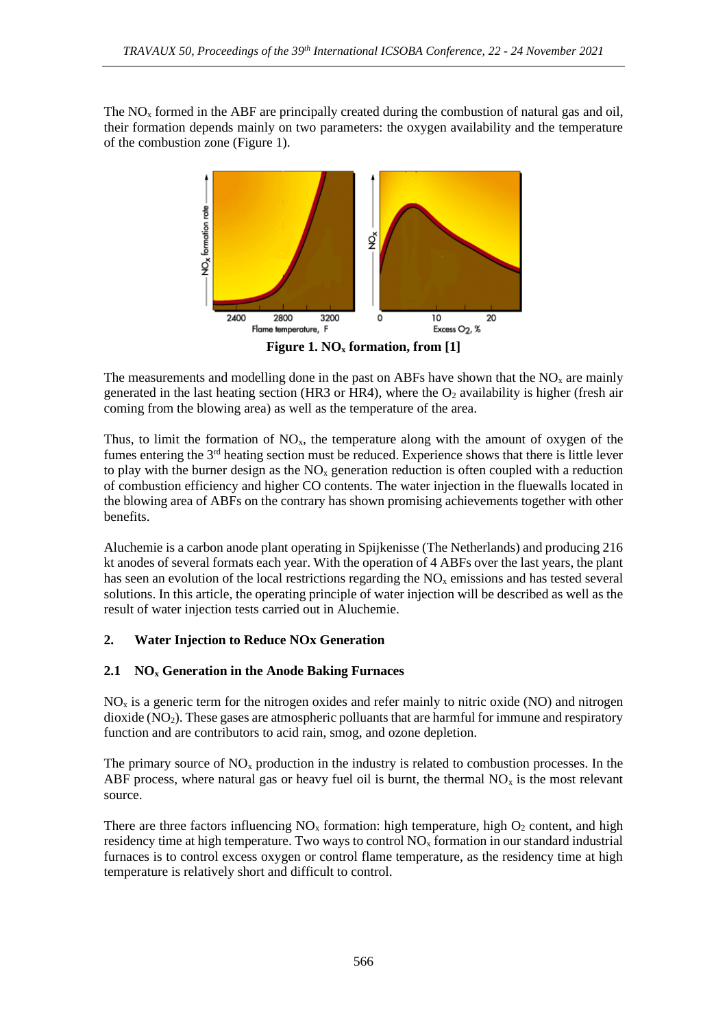The  $NO<sub>x</sub>$  formed in the ABF are principally created during the combustion of natural gas and oil, their formation depends mainly on two parameters: the oxygen availability and the temperature of the combustion zone (Figure 1).



The measurements and modelling done in the past on ABFs have shown that the  $NO<sub>x</sub>$  are mainly generated in the last heating section (HR3 or HR4), where the  $O_2$  availability is higher (fresh air coming from the blowing area) as well as the temperature of the area.

Thus, to limit the formation of  $NO<sub>x</sub>$ , the temperature along with the amount of oxygen of the fumes entering the 3rd heating section must be reduced. Experience shows that there is little lever to play with the burner design as the  $NO<sub>x</sub>$  generation reduction is often coupled with a reduction of combustion efficiency and higher CO contents. The water injection in the fluewalls located in the blowing area of ABFs on the contrary has shown promising achievements together with other benefits.

Aluchemie is a carbon anode plant operating in Spijkenisse (The Netherlands) and producing 216 kt anodes of several formats each year. With the operation of 4 ABFs over the last years, the plant has seen an evolution of the local restrictions regarding the  $NO<sub>x</sub>$  emissions and has tested several solutions. In this article, the operating principle of water injection will be described as well as the result of water injection tests carried out in Aluchemie.

## **2. Water Injection to Reduce NOx Generation**

## **2.1 NO<sup>x</sup> Generation in the Anode Baking Furnaces**

NO<sup>x</sup> is a generic term for the nitrogen oxides and refer mainly to nitric oxide (NO) and nitrogen  $divide (NO<sub>2</sub>)$ . These gases are atmospheric polluants that are harmful for immune and respiratory function and are contributors to acid rain, smog, and ozone depletion.

The primary source of  $NO<sub>x</sub>$  production in the industry is related to combustion processes. In the ABF process, where natural gas or heavy fuel oil is burnt, the thermal  $NO<sub>x</sub>$  is the most relevant source.

There are three factors influencing  $NO<sub>x</sub>$  formation: high temperature, high  $O<sub>2</sub>$  content, and high residency time at high temperature. Two ways to control  $NO<sub>x</sub>$  formation in our standard industrial furnaces is to control excess oxygen or control flame temperature, as the residency time at high temperature is relatively short and difficult to control.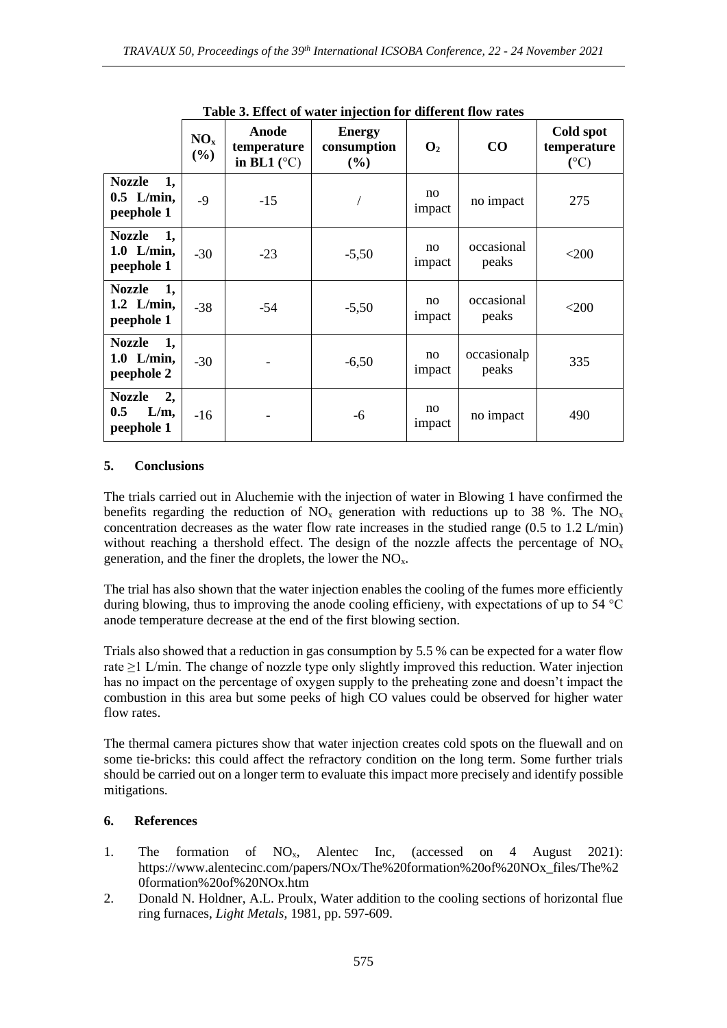| Table 5. Effect of water injection for different flow rates |                        |                                              |                                        |                |                      |                                             |
|-------------------------------------------------------------|------------------------|----------------------------------------------|----------------------------------------|----------------|----------------------|---------------------------------------------|
|                                                             | NO <sub>x</sub><br>(%) | Anode<br>temperature<br>in BL1 $(^{\circ}C)$ | <b>Energy</b><br>consumption<br>$(\%)$ | $\mathbf{O}_2$ | $\bf CO$             | Cold spot<br>temperature<br>$({}^{\circ}C)$ |
| <b>Nozzle</b><br>1,<br>$0.5$ L/min,<br>peephole 1           | $-9$                   | $-15$                                        |                                        | no<br>impact   | no impact            | 275                                         |
| Nozzle 1,<br>$1.0$ L/min,<br>peephole 1                     | $-30$                  | $-23$                                        | $-5,50$                                | no<br>impact   | occasional<br>peaks  | $<$ 200                                     |
| Nozzle 1,<br>$1.2$ L/min,<br>peephole 1                     | $-38$                  | $-54$                                        | $-5,50$                                | no<br>impact   | occasional<br>peaks  | $<$ 200                                     |
| 1,<br><b>Nozzle</b><br>$1.0$ L/min,<br>peephole 2           | $-30$                  |                                              | $-6,50$                                | no<br>impact   | occasionalp<br>peaks | 335                                         |
| 2,<br><b>Nozzle</b><br>0.5<br>L/m,<br>peephole 1            | $-16$                  |                                              | -6                                     | no<br>impact   | no impact            | 490                                         |

**Table 3. Effect of water injection for different flow rates**

#### **5. Conclusions**

The trials carried out in Aluchemie with the injection of water in Blowing 1 have confirmed the benefits regarding the reduction of  $NO<sub>x</sub>$  generation with reductions up to 38 %. The  $NO<sub>x</sub>$ concentration decreases as the water flow rate increases in the studied range (0.5 to 1.2 L/min) without reaching a thershold effect. The design of the nozzle affects the percentage of  $NO<sub>x</sub>$ generation, and the finer the droplets, the lower the  $NO<sub>x</sub>$ .

The trial has also shown that the water injection enables the cooling of the fumes more efficiently during blowing, thus to improving the anode cooling efficieny, with expectations of up to 54 °C anode temperature decrease at the end of the first blowing section.

Trials also showed that a reduction in gas consumption by 5.5 % can be expected for a water flow rate ≥1 L/min. The change of nozzle type only slightly improved this reduction. Water injection has no impact on the percentage of oxygen supply to the preheating zone and doesn't impact the combustion in this area but some peeks of high CO values could be observed for higher water flow rates.

The thermal camera pictures show that water injection creates cold spots on the fluewall and on some tie-bricks: this could affect the refractory condition on the long term. Some further trials should be carried out on a longer term to evaluate this impact more precisely and identify possible mitigations.

## **6. References**

- 1. The formation of NOx, Alentec Inc, (accessed on 4 August 2021): https://www.alentecinc.com/papers/NOx/The%20formation%20of%20NOx\_files/The%2 0formation%20of%20NOx.htm
- 2. Donald N. Holdner, A.L. Proulx, Water addition to the cooling sections of horizontal flue ring furnaces, *Light Metals*, 1981, pp. 597-609.